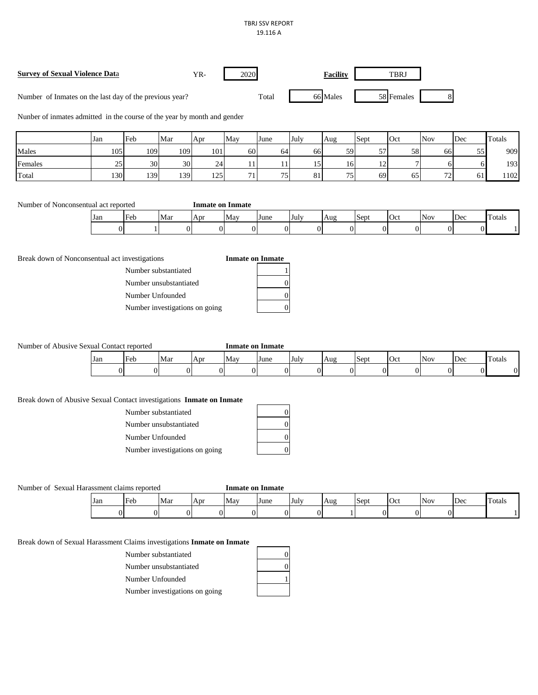## TBRJ SSV REPORT 19.116 A

| Survey of Sexual Violence Data                          | YR- | 2020  | <b>Facility</b> | TBRJ       |  |
|---------------------------------------------------------|-----|-------|-----------------|------------|--|
| Number of Inmates on the last day of the previous year? |     | Total | 66 Males        | 58 Females |  |

Nunber of inmates admitted in the course of the year by month and gender

|         | Jan | Feb | Mar | Apr | May      | June | July    | Aug             | Sept         | Oct | <b>Nov</b> | Dec             | Totals |
|---------|-----|-----|-----|-----|----------|------|---------|-----------------|--------------|-----|------------|-----------------|--------|
| Males   | 105 | 109 | 109 | 101 | 60       | 64   | 66      | 59              | 57<br>◡      | 58  | 66         | 55 <sup>1</sup> | 909    |
| Females | 25  | 30  | 30  | 24  |          |      | 1c<br>⊥ | 16 <sup>1</sup> | $\sim$<br>-- |     |            |                 | 193    |
| Total   | 130 | 139 | 139 | 125 | $\sim$ 1 | 75   | 81      | 75<br>ر .       | 69           | 65  | 72<br>7∠   |                 | 102    |

| Number of Nonconsentual act reported | <b>Inmate on Inmate</b> |
|--------------------------------------|-------------------------|
|--------------------------------------|-------------------------|

| Jan | .<br>Heh<br>L'UL | Mar | Apr | May | June | -July | Aug | <b>Sep</b> | $\sim$<br>v | Nov | ື້ | .<br>Fotals |
|-----|------------------|-----|-----|-----|------|-------|-----|------------|-------------|-----|----|-------------|
| Œ   |                  |     |     |     |      |       |     |            |             |     |    |             |

Break down of Nonconsentual act investigations **Inmate on Inmate** 

Number substantiated 1 Number unsubstantiated

Number Unfounded

Number investigations on going

Number of Abusive Sexual Contact reported **Inmate on Inmate** 

| Jan | Feb | Mar | . Apr | ⊪Mav | <b>June</b> | -July | 'Aug | <b>Sept</b> | Oct | <b>Nov</b> | Dec | Totals |
|-----|-----|-----|-------|------|-------------|-------|------|-------------|-----|------------|-----|--------|
|     |     |     |       |      |             |       |      |             | D.  |            |     |        |

## Break down of Abusive Sexual Contact investigations **Inmate on Inmate**

| Number substantiated           |  |
|--------------------------------|--|
| Number unsubstantiated         |  |
| Number Unfounded               |  |
| Number investigations on going |  |

Number of Sexual Harassment claims reported **Inmate on Inmate**

| Jan | Eeh<br>ั∪⊍ | Mar | Apr | -May | June | <b>IVITY</b><br>IJUI. | Διισ<br>$\Delta u$<br>__ | Sent | $\sim$ | Nov | Dec | .<br>Totals |
|-----|------------|-----|-----|------|------|-----------------------|--------------------------|------|--------|-----|-----|-------------|
|     |            |     |     |      |      |                       |                          |      |        |     |     |             |

Break down of Sexual Harassment Claims investigations **Inmate on Inmate** 

Number substantiated 0

Number unsubstantiated 0

Number Unfounded 1

Number investigations on going